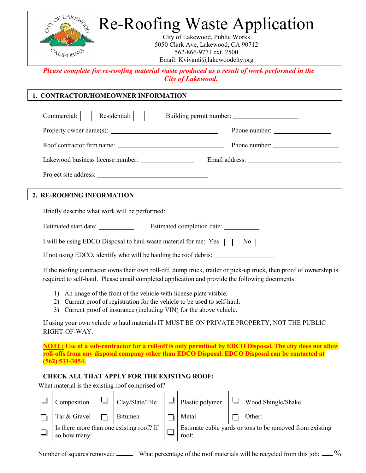

*Please complete for re-roofing material waste produced as a result of work performed in the City of Lakewood.*

### **1. CONTRACTOR/HOMEOWNER INFORMATION**

| Residential:    <br>Commercial:                                                                                                                                                                                       |                                                                                                                      |  |  |  |
|-----------------------------------------------------------------------------------------------------------------------------------------------------------------------------------------------------------------------|----------------------------------------------------------------------------------------------------------------------|--|--|--|
|                                                                                                                                                                                                                       |                                                                                                                      |  |  |  |
|                                                                                                                                                                                                                       |                                                                                                                      |  |  |  |
|                                                                                                                                                                                                                       |                                                                                                                      |  |  |  |
|                                                                                                                                                                                                                       |                                                                                                                      |  |  |  |
| 2. RE-ROOFING INFORMATION                                                                                                                                                                                             | <u> 1989 - Andrea Santana, martxa al carte de la carte de la carte de la carte de la carte de la carte de la car</u> |  |  |  |
|                                                                                                                                                                                                                       |                                                                                                                      |  |  |  |
|                                                                                                                                                                                                                       |                                                                                                                      |  |  |  |
| I will be using EDCO Disposal to haul waste material for me: Yes $\Box$ No $\Box$                                                                                                                                     |                                                                                                                      |  |  |  |
| If not using EDCO, identify who will be hauling the roof debris:                                                                                                                                                      |                                                                                                                      |  |  |  |
| If the roofing contractor owns their own roll-off, dump truck, trailer or pick-up truck, then proof of ownership is<br>required to self-haul. Please email completed application and provide the following documents: |                                                                                                                      |  |  |  |

- 1) An image of the front of the vehicle with license plate visible.
- 2) Current proof of registration for the vehicle to be used to self-haul.
- 3) Current proof of insurance (including VIN) for the above vehicle.

If using your own vehicle to haul materials IT MUST BE ON PRIVATE PROPERTY, NOT THE PUBLIC RIGHT-OF-WAY.

**NOTE: Use of a sub-contractor for a roll-off is only permitted by EDCO Disposal. The city does not allow roll-offs from any disposal company other than EDCO Disposal. EDCO Disposal can be contacted at (562) 531-3054.**

## **CHECK ALL THAT APPLY FOR THE EXISTING ROOF:**

| What material is the existing roof comprised of? |                                          |  |                 |  |                                                                   |  |                    |
|--------------------------------------------------|------------------------------------------|--|-----------------|--|-------------------------------------------------------------------|--|--------------------|
|                                                  | Composition                              |  | Clay/Slate/Tile |  | Plastic polymer                                                   |  | Wood Shingle/Shake |
|                                                  | Tar & Gravel                             |  | <b>B</b> itumen |  | Metal                                                             |  | Other:             |
|                                                  | Is there more than one existing roof? If |  |                 |  | Estimate cubic yards or tons to be removed from existing<br>roof: |  |                    |